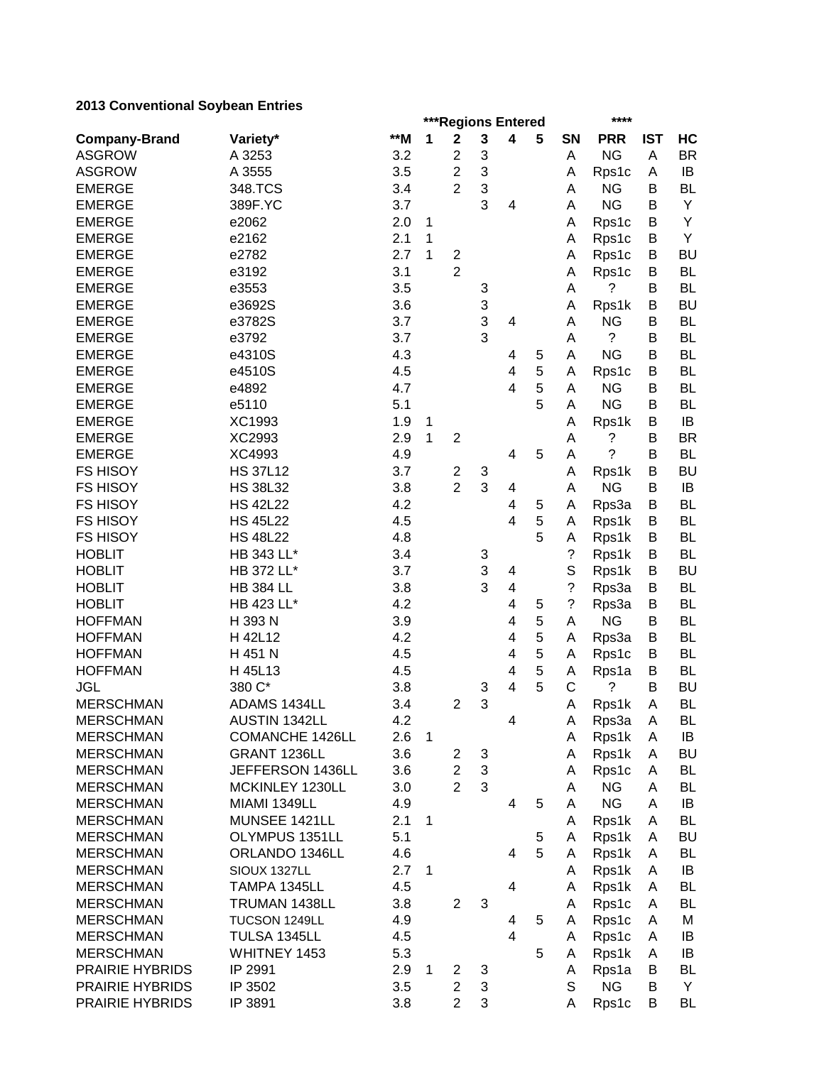# **2013 Conventional Soybean Entries**

|                        |                  |     |   | ***Regions Entered      |   |                         |   | ****               |            |            |           |  |
|------------------------|------------------|-----|---|-------------------------|---|-------------------------|---|--------------------|------------|------------|-----------|--|
| <b>Company-Brand</b>   | Variety*         | **M | 1 | $\mathbf 2$             | 3 | 4                       | 5 | SN                 | <b>PRR</b> | <b>IST</b> | HC        |  |
| <b>ASGROW</b>          | A 3253           | 3.2 |   | $\overline{2}$          | 3 |                         |   | Α                  | <b>NG</b>  | Α          | <b>BR</b> |  |
| <b>ASGROW</b>          | A 3555           | 3.5 |   | $\overline{2}$          | 3 |                         |   | A                  | Rps1c      | Α          | IB        |  |
| <b>EMERGE</b>          | 348.TCS          | 3.4 |   | $\overline{2}$          | 3 |                         |   | Α                  | <b>NG</b>  | в          | BL        |  |
| <b>EMERGE</b>          | 389F.YC          | 3.7 |   |                         | 3 | 4                       |   | A                  | <b>NG</b>  | B          | Υ         |  |
| <b>EMERGE</b>          | e2062            | 2.0 | 1 |                         |   |                         |   | Α                  | Rps1c      | B          | Υ         |  |
| <b>EMERGE</b>          | e2162            | 2.1 | 1 |                         |   |                         |   | A                  | Rps1c      | B          | Υ         |  |
| <b>EMERGE</b>          | e2782            | 2.7 | 1 | $\overline{c}$          |   |                         |   | A                  | Rps1c      | B          | <b>BU</b> |  |
| <b>EMERGE</b>          | e3192            | 3.1 |   | $\overline{2}$          |   |                         |   | Α                  | Rps1c      | B          | <b>BL</b> |  |
| <b>EMERGE</b>          | e3553            | 3.5 |   |                         | 3 |                         |   | Α                  | ?          | B          | <b>BL</b> |  |
| <b>EMERGE</b>          | e3692S           | 3.6 |   |                         | 3 |                         |   | Α                  | Rps1k      | Β          | <b>BU</b> |  |
| <b>EMERGE</b>          | e3782S           | 3.7 |   |                         | 3 | 4                       |   | A                  | <b>NG</b>  | Β          | <b>BL</b> |  |
| <b>EMERGE</b>          | e3792            | 3.7 |   |                         | 3 |                         |   | A                  | ?          | B          | <b>BL</b> |  |
| <b>EMERGE</b>          | e4310S           | 4.3 |   |                         |   | 4                       | 5 | Α                  | <b>NG</b>  | B          | BL        |  |
| <b>EMERGE</b>          | e4510S           | 4.5 |   |                         |   | 4                       | 5 | A                  | Rps1c      | Β          | BL        |  |
| <b>EMERGE</b>          | e4892            | 4.7 |   |                         |   | 4                       | 5 | Α                  | <b>NG</b>  | Β          | BL        |  |
| <b>EMERGE</b>          | e5110            | 5.1 |   |                         |   |                         | 5 | A                  | <b>NG</b>  | В          | <b>BL</b> |  |
| <b>EMERGE</b>          | XC1993           | 1.9 | 1 |                         |   |                         |   | A                  | Rps1k      | В          | IB        |  |
| <b>EMERGE</b>          | XC2993           | 2.9 | 1 | $\overline{2}$          |   |                         |   | A                  | ?          | Β          | <b>BR</b> |  |
| <b>EMERGE</b>          | XC4993           | 4.9 |   |                         |   | 4                       | 5 | Α                  | ?          | Β          | <b>BL</b> |  |
| <b>FS HISOY</b>        | <b>HS 37L12</b>  | 3.7 |   | $\overline{\mathbf{c}}$ | 3 |                         |   | Α                  | Rps1k      | Β          | <b>BU</b> |  |
| <b>FS HISOY</b>        | <b>HS 38L32</b>  | 3.8 |   | $\overline{2}$          | 3 | 4                       |   | A                  | <b>NG</b>  | B          | IB        |  |
| <b>FS HISOY</b>        | <b>HS 42L22</b>  | 4.2 |   |                         |   | 4                       | 5 | A                  | Rps3a      | B          | <b>BL</b> |  |
| <b>FS HISOY</b>        | <b>HS 45L22</b>  | 4.5 |   |                         |   | 4                       | 5 | A                  | Rps1k      | B          | <b>BL</b> |  |
| <b>FS HISOY</b>        | <b>HS 48L22</b>  | 4.8 |   |                         |   |                         | 5 | Α                  | Rps1k      | B          | <b>BL</b> |  |
| <b>HOBLIT</b>          | HB 343 LL*       | 3.4 |   |                         | 3 |                         |   | $\tilde{?}$        | Rps1k      | B          | <b>BL</b> |  |
| <b>HOBLIT</b>          | HB 372 LL*       | 3.7 |   |                         | 3 | 4                       |   | S                  | Rps1k      | В          | <b>BU</b> |  |
| <b>HOBLIT</b>          | <b>HB 384 LL</b> | 3.8 |   |                         | 3 | $\overline{\mathbf{4}}$ |   | $\ddot{?}$         | Rps3a      | B          | <b>BL</b> |  |
| <b>HOBLIT</b>          | HB 423 LL*       | 4.2 |   |                         |   | $\overline{4}$          | 5 | $\overline{\cdot}$ | Rps3a      | B          | BL        |  |
| <b>HOFFMAN</b>         | H 393 N          | 3.9 |   |                         |   | 4                       | 5 | A                  | <b>NG</b>  | B          | BL        |  |
| <b>HOFFMAN</b>         | H 42L12          | 4.2 |   |                         |   | 4                       | 5 | Α                  | Rps3a      | Β          | BL        |  |
| <b>HOFFMAN</b>         | H 451 N          | 4.5 |   |                         |   | 4                       | 5 | A                  | Rps1c      | в          | <b>BL</b> |  |
| <b>HOFFMAN</b>         | H 45L13          | 4.5 |   |                         |   | 4                       | 5 | A                  | Rps1a      | В          | BL        |  |
| <b>JGL</b>             | 380 C*           | 3.8 |   |                         | 3 | $\overline{4}$          | 5 | C                  | ?          | В          | <b>BU</b> |  |
| <b>MERSCHMAN</b>       | ADAMS 1434LL     | 3.4 |   | $\overline{2}$          | 3 |                         |   | Α                  | Rps1k      | A          | BL        |  |
| <b>MERSCHMAN</b>       | AUSTIN 1342LL    | 4.2 |   |                         |   | 4                       |   | A                  | Rps3a      | A          | <b>BL</b> |  |
| <b>MERSCHMAN</b>       | COMANCHE 1426LL  | 2.6 | 1 |                         |   |                         |   | Α                  | Rps1k      | A          | IB        |  |
| <b>MERSCHMAN</b>       | GRANT 1236LL     | 3.6 |   | $\overline{c}$          | 3 |                         |   | Α                  | Rps1k      | A          | <b>BU</b> |  |
| <b>MERSCHMAN</b>       | JEFFERSON 1436LL | 3.6 |   | $\overline{2}$          | 3 |                         |   | Α                  | Rps1c      | A          | <b>BL</b> |  |
| <b>MERSCHMAN</b>       | MCKINLEY 1230LL  | 3.0 |   | $\overline{2}$          | 3 |                         |   | Α                  | <b>NG</b>  | Α          | <b>BL</b> |  |
| <b>MERSCHMAN</b>       | MIAMI 1349LL     | 4.9 |   |                         |   | 4                       | 5 | A                  | <b>NG</b>  | Α          | IB        |  |
| <b>MERSCHMAN</b>       | MUNSEE 1421LL    | 2.1 | 1 |                         |   |                         |   | A                  | Rps1k      | A          | <b>BL</b> |  |
| <b>MERSCHMAN</b>       | OLYMPUS 1351LL   | 5.1 |   |                         |   |                         | 5 | A                  | Rps1k      | A          | <b>BU</b> |  |
| <b>MERSCHMAN</b>       | ORLANDO 1346LL   | 4.6 |   |                         |   | 4                       | 5 | A                  | Rps1k      | A          | <b>BL</b> |  |
| <b>MERSCHMAN</b>       | SIOUX 1327LL     | 2.7 | 1 |                         |   |                         |   | A                  | Rps1k      | A          | IB        |  |
| <b>MERSCHMAN</b>       | TAMPA 1345LL     | 4.5 |   |                         |   | $\overline{4}$          |   | A                  | Rps1k      | A          | BL        |  |
| <b>MERSCHMAN</b>       | TRUMAN 1438LL    | 3.8 |   | $\overline{2}$          | 3 |                         |   | A                  | Rps1c      | A          | BL        |  |
| <b>MERSCHMAN</b>       | TUCSON 1249LL    | 4.9 |   |                         |   | 4                       | 5 | A                  | Rps1c      | A          | M         |  |
| <b>MERSCHMAN</b>       | TULSA 1345LL     | 4.5 |   |                         |   | $\overline{4}$          |   | A                  | Rps1c      | A          | IB        |  |
| <b>MERSCHMAN</b>       | WHITNEY 1453     | 5.3 |   |                         |   |                         | 5 | A                  | Rps1k      | A          | IB        |  |
| <b>PRAIRIE HYBRIDS</b> | IP 2991          | 2.9 | 1 | $\mathbf{2}$            | 3 |                         |   | A                  | Rps1a      | В          | <b>BL</b> |  |
| <b>PRAIRIE HYBRIDS</b> | IP 3502          | 3.5 |   | $\overline{2}$          | 3 |                         |   | S                  | <b>NG</b>  | В          | Y         |  |
| PRAIRIE HYBRIDS        | IP 3891          | 3.8 |   | $\overline{2}$          | 3 |                         |   | A                  | Rps1c      | B          | BL        |  |